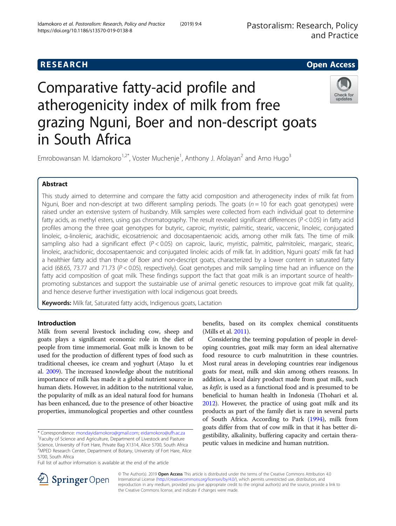# **RESEARCH CHE Open Access**

# Comparative fatty-acid profile and atherogenicity index of milk from free grazing Nguni, Boer and non-descript goats in South Africa



Emrobowansan M. Idamokoro<sup>1,2\*</sup>, Voster Muchenje<sup>1</sup>, Anthony J. Afolayan<sup>2</sup> and Arno Hugo<sup>3</sup>

# Abstract

This study aimed to determine and compare the fatty acid composition and atherogenecity index of milk fat from Nguni, Boer and non-descript at two different sampling periods. The goats ( $n = 10$  for each goat genotypes) were raised under an extensive system of husbandry. Milk samples were collected from each individual goat to determine fatty acids, as methyl esters, using gas chromatography. The result revealed significant differences  $(P < 0.05)$  in fatty acid profiles among the three goat genotypes for butyric, caproic, myristic, palmitic, stearic, vaccenic, linoleic, conjugated linoleic, α-linolenic, arachidic, eicosatrienoic and docosapentaenoic acids, among other milk fats. The time of milk sampling also had a significant effect (P < 0.05) on caproic, lauric, myristic, palmitic, palmitoleic, margaric, stearic, linoleic, arachidonic, docosapentaenoic and conjugated linoleic acids of milk fat. In addition, Nguni goats' milk fat had a healthier fatty acid than those of Boer and non-descript goats, characterized by a lower content in saturated fatty acid (68.65, 73.77 and 71.73 ( $P < 0.05$ ), respectively). Goat genotypes and milk sampling time had an influence on the fatty acid composition of goat milk. These findings support the fact that goat milk is an important source of healthpromoting substances and support the sustainable use of animal genetic resources to improve goat milk fat quality, and hence deserve further investigation with local indigenous goat breeds.

**Keywords:** Milk fat, Saturated fatty acids, Indigenous goats, Lactation

## Introduction

Milk from several livestock including cow, sheep and goats plays a significant economic role in the diet of people from time immemorial. Goat milk is known to be used for the production of different types of food such as traditional cheeses, ice cream and yoghurt (Atașo lu et al. [2009\)](#page-6-0). The increased knowledge about the nutritional importance of milk has made it a global nutrient source in human diets. However, in addition to the nutritional value, the popularity of milk as an ideal natural food for humans has been enhanced, due to the presence of other bioactive properties, immunological properties and other countless

\* Correspondence: [mondayidamokoro@gmail.com](mailto:mondayidamokoro@gmail.com); [eidamokoro@ufh.ac.za](mailto:eidamokoro@ufh.ac.za) <sup>1</sup>

Faculty of Science and Agriculture, Department of Livestock and Pasture Science, University of Fort Hare, Private Bag X1314, Alice 5700, South Africa

<sup>2</sup>MPED Research Center, Department of Botany, University of Fort Hare, Alice 5700, South Africa

Full list of author information is available at the end of the article

benefits, based on its complex chemical constituents (Mills et al. [2011](#page-6-0)).

Considering the teeming population of people in developing countries, goat milk may form an ideal alternative food resource to curb malnutrition in these countries. Most rural areas in developing countries rear indigenous goats for meat, milk and skin among others reasons. In addition, a local dairy product made from goat milk, such as kefir, is used as a functional food and is presumed to be beneficial to human health in Indonesia (Thohari et al. [2012\)](#page-7-0). However, the practice of using goat milk and its products as part of the family diet is rare in several parts of South Africa. According to Park ([1994](#page-7-0)), milk from goats differ from that of cow milk in that it has better digestibility, alkalinity, buffering capacity and certain therapeutic values in medicine and human nutrition.



© The Author(s). 2019 Open Access This article is distributed under the terms of the Creative Commons Attribution 4.0 International License ([http://creativecommons.org/licenses/by/4.0/\)](http://creativecommons.org/licenses/by/4.0/), which permits unrestricted use, distribution, and reproduction in any medium, provided you give appropriate credit to the original author(s) and the source, provide a link to the Creative Commons license, and indicate if changes were made.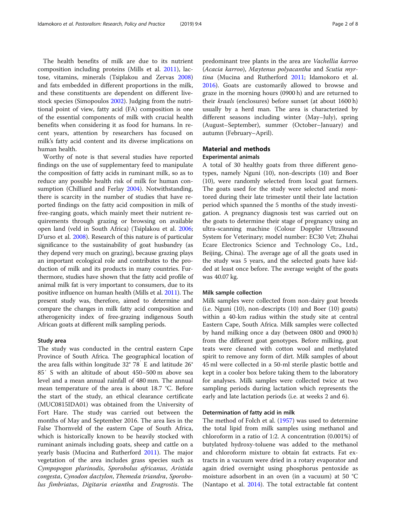The health benefits of milk are due to its nutrient composition including proteins (Mills et al. [2011\)](#page-6-0), lactose, vitamins, minerals (Tsiplakou and Zervas [2008](#page-7-0)) and fats embedded in different proportions in the milk, and these constituents are dependent on different livestock species (Simopoulos [2002](#page-7-0)). Judging from the nutritional point of view, fatty acid (FA) composition is one of the essential components of milk with crucial health benefits when considering it as food for humans. In recent years, attention by researchers has focused on milk's fatty acid content and its diverse implications on human health.

Worthy of note is that several studies have reported findings on the use of supplementary feed to manipulate the composition of fatty acids in ruminant milk, so as to reduce any possible health risk of milk for human consumption (Chilliard and Ferlay [2004](#page-6-0)). Notwithstanding, there is scarcity in the number of studies that have reported findings on the fatty acid composition in milk of free-ranging goats, which mainly meet their nutrient requirements through grazing or browsing on available open land (veld in South Africa) (Tsiplakou et al. [2006](#page-7-0); D'urso et al. [2008](#page-6-0)). Research of this nature is of particular significance to the sustainability of goat husbandry (as they depend very much on grazing), because grazing plays an important ecological role and contributes to the production of milk and its products in many countries. Furthermore, studies have shown that the fatty acid profile of animal milk fat is very important to consumers, due to its positive influence on human health (Mills et al. [2011\)](#page-6-0). The present study was, therefore, aimed to determine and compare the changes in milk fatty acid composition and atherogenicity index of free-grazing indigenous South African goats at different milk sampling periods.

#### Study area

The study was conducted in the central eastern Cape Province of South Africa. The geographical location of the area falls within longitude 32° 78′ E and latitude 26° 85′ S with an altitude of about 450–500 m above sea level and a mean annual rainfall of 480 mm. The annual mean temperature of the area is about 18.7 °C. Before the start of the study, an ethical clearance certificate (MUC0815IDA01) was obtained from the University of Fort Hare. The study was carried out between the months of May and September 2016. The area lies in the False Thornveld of the eastern Cape of South Africa, which is historically known to be heavily stocked with ruminant animals including goats, sheep and cattle on a yearly basis (Mucina and Rutherford [2011](#page-6-0)). The major vegetation of the area includes grass species such as Cympopogon plurinodis, Sporobolus africanus, Aristida congesta, Cynodon dactylon, Themeda triandra, Sporobolus fimbriatus, Digitaria eriantha and Eragrostis. The predominant tree plants in the area are Vachellia karroo (Acacia karroo), Maytenus polyacantha and Scutia myrtina (Mucina and Rutherford [2011;](#page-6-0) Idamokoro et al. [2016](#page-6-0)). Goats are customarily allowed to browse and graze in the morning hours (0900 h) and are returned to their kraals (enclosures) before sunset (at about 1600 h) usually by a herd man. The area is characterized by different seasons including winter (May–July), spring (August–September), summer (October–January) and autumn (February–April).

### Material and methods Experimental animals

A total of 30 healthy goats from three different genotypes, namely Nguni (10), non-descripts (10) and Boer (10), were randomly selected from local goat farmers. The goats used for the study were selected and monitored during their late trimester until their late lactation period which spanned the 5 months of the study investigation. A pregnancy diagnosis test was carried out on the goats to determine their stage of pregnancy using an ultra-scanning machine (Colour Doppler Ultrasound System for Veterinary; model number: EC30 Vet; Zhuhai Ecare Electronics Science and Technology Co., Ltd., Beijing, China). The average age of all the goats used in the study was 5 years, and the selected goats have kidded at least once before. The average weight of the goats was 40.07 kg.

#### Milk sample collection

Milk samples were collected from non-dairy goat breeds (i.e. Nguni (10), non-descripts (10) and Boer (10) goats) within a 40-km radius within the study site at central Eastern Cape, South Africa. Milk samples were collected by hand milking once a day (between 0800 and 0900 h) from the different goat genotypes. Before milking, goat teats were cleaned with cotton wool and methylated spirit to remove any form of dirt. Milk samples of about 45 ml were collected in a 50-ml sterile plastic bottle and kept in a cooler box before taking them to the laboratory for analyses. Milk samples were collected twice at two sampling periods during lactation which represents the early and late lactation periods (i.e. at weeks 2 and 6).

#### Determination of fatty acid in milk

The method of Folch et al. [\(1957\)](#page-6-0) was used to determine the total lipid from milk samples using methanol and chloroform in a ratio of 1:2. A concentration (0.001%) of butylated hydroxy-toluene was added to the methanol and chloroform mixture to obtain fat extracts. Fat extracts in a vacuum were dried in a rotary evaporator and again dried overnight using phosphorus pentoxide as moisture adsorbent in an oven (in a vacuum) at 50 °C (Nantapo et al. [2014\)](#page-6-0). The total extractable fat content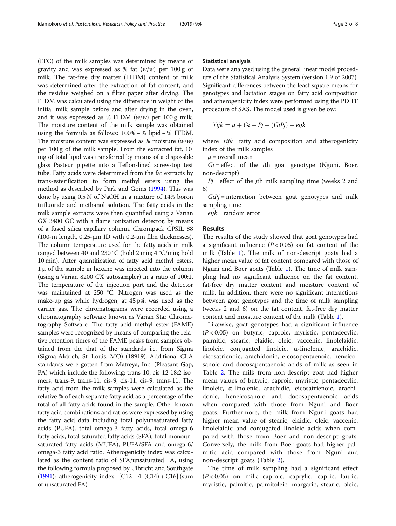(EFC) of the milk samples was determined by means of gravity and was expressed as % fat  $(w/w)$  per 100 g of milk. The fat-free dry matter (FFDM) content of milk was determined after the extraction of fat content, and the residue weighed on a filter paper after drying. The FFDM was calculated using the difference in weight of the initial milk sample before and after drying in the oven, and it was expressed as % FFDM  $(w/w)$  per 100 g milk. The moisture content of the milk sample was obtained using the formula as follows: 100% − % lipid − % FFDM. The moisture content was expressed as % moisture  $(w/w)$ per 100 g of the milk sample. From the extracted fat, 10 mg of total lipid was transferred by means of a disposable glass Pasteur pipette into a Teflon-lined screw-top test tube. Fatty acids were determined from the fat extracts by trans-esterification to form methyl esters using the method as described by Park and Goins ([1994\)](#page-7-0). This was done by using 0.5 N of NaOH in a mixture of 14% boron trifluoride and methanol solution. The fatty acids in the milk sample extracts were then quantified using a Varian GX 3400 GC with a flame ionization detector, by means of a fused silica capillary column, Chrompack CPSIL 88 (100-m length, 0.25-μm ID with 0.2-μm film thicknesses). The column temperature used for the fatty acids in milk ranged between 40 and 230 °C (hold 2 min; 4 °C/min; hold 10 min). After quantification of fatty acid methyl esters,  $1 \mu$  of the sample in hexane was injected into the column (using a Varian 8200 CX autosampler) in a ratio of 100:1. The temperature of the injection port and the detector was maintained at 250 °C. Nitrogen was used as the make-up gas while hydrogen, at 45 psi, was used as the carrier gas. The chromatograms were recorded using a chromatography software known as Varian Star Chromatography Software. The fatty acid methyl ester (FAME) samples were recognized by means of comparing the relative retention times of the FAME peaks from samples obtained from the that of the standards i.e. from Sigma (Sigma-Aldrich, St. Louis, MO) (18919). Additional CLA standards were gotten from Matreya, Inc. (Pleasant Gap, PA) which include the following: trans-10, cis-12 18:2 isomers, trans-9, trans-11, cis-9, cis-11, cis-9, trans-11. The fatty acid from the milk samples were calculated as the relative % of each separate fatty acid as a percentage of the total of all fatty acids found in the sample. Other known fatty acid combinations and ratios were expressed by using the fatty acid data including total polyunsaturated fatty acids (PUFA), total omega-3 fatty acids, total omega-6 fatty acids, total saturated fatty acids (SFA), total monounsaturated fatty acids (MUFA), PUFA/SFA and omega-6/ omega-3 fatty acid ratio. Atherogenicity index was calculated as the content ratio of SFA/unsaturated FA, using the following formula proposed by Ulbricht and Southgate ([1991](#page-7-0)): atherogenicity index:  $[C12 + 4 (C14) + C16]$ :(sum of unsaturated FA).

#### Statistical analysis

Data were analyzed using the general linear model procedure of the Statistical Analysis System (version 1.9 of 2007). Significant differences between the least square means for genotypes and lactation stages on fatty acid composition and atherogenicity index were performed using the PDIFF procedure of SAS. The model used is given below:

$$
Yijk = \mu + Gi + Pj + (GiPj) + eijk
$$

where  $Yijk = fatty$  acid composition and atherogenicity index of the milk samples

 $\mu$  = overall mean

 $Gi = effect$  of the *i*th goat genotype (Nguni, Boer, non-descript)

 $Pj$  = effect of the jth milk sampling time (weeks 2 and 6)

 $GiPj =$  interaction between goat genotypes and milk sampling time

 $eijk$  = random error

#### Results

The results of the study showed that goat genotypes had a significant influence  $(P < 0.05)$  on fat content of the milk (Table [1](#page-3-0)). The milk of non-descript goats had a higher mean value of fat content compared with those of Nguni and Boer goats (Table [1](#page-3-0)). The time of milk sampling had no significant influence on the fat content, fat-free dry matter content and moisture content of milk. In addition, there were no significant interactions between goat genotypes and the time of milk sampling (weeks 2 and 6) on the fat content, fat-free dry matter content and moisture content of the milk (Table [1](#page-3-0)).

Likewise, goat genotypes had a significant influence  $(P < 0.05)$  on butyric, caproic, myristic, pentadecylic, palmitic, stearic, elaidic, oleic, vaccenic, linolelaidic, linoleic, conjugated linoleic, α-linolenic, arachidic, eicosatrienoic, arachidonic, eicosopentaenoic, heneicosanoic and docosapentaenoic acids of milk as seen in Table [2.](#page-3-0) The milk from non-descript goat had higher mean values of butyric, caproic, myristic, pentadecylic, linoleic, α-linolenic, arachidic, eicosatrienoic, arachidonic, heneicosanoic and docosapentaenoic acids when compared with those from Nguni and Boer goats. Furthermore, the milk from Nguni goats had higher mean value of stearic, elaidic, oleic, vaccenic, linolelaidic and conjugated linoleic acids when compared with those from Boer and non-descript goats. Conversely, the milk from Boer goats had higher palmitic acid compared with those from Nguni and non-descript goats (Table [2](#page-3-0)).

The time of milk sampling had a significant effect  $(P < 0.05)$  on milk caproic, caprylic, capric, lauric, myristic, palmitic, palmitoleic, margaric, stearic, oleic,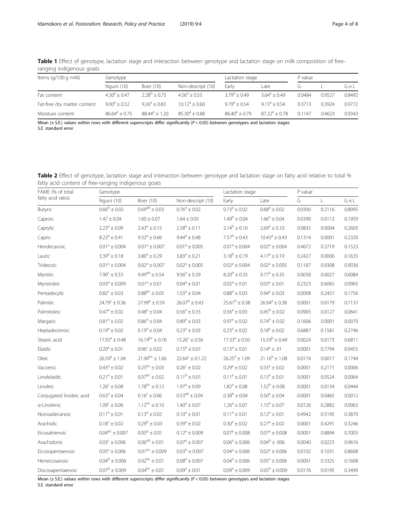| Items (g/100 g milk)        | Genotype                |                  |                    | Lactation stage       | $P$ value        |        |        |        |
|-----------------------------|-------------------------|------------------|--------------------|-----------------------|------------------|--------|--------|--------|
|                             | Nguni (10)              | Boer (10)        | Non-descript (10)  | Early                 | Late             |        |        | GxL    |
| Fat content                 | $4.30^{\circ} + 0.47$   | $2.28^b + 0.75$  | $4.56^a + 0.55$    | $3.79^{\circ} + 0.49$ | $3.64^a + 0.49$  | 0.0484 | 0.9527 | 0.8492 |
| Fat-free dry matter content | $9.00^{\circ} \pm 0.52$ | $9.26^a + 0.83$  | $10.12^a + 0.60$   | $9.79^{\circ} + 0.54$ | $913^a + 054$    | 0.3713 | 03924  | 0.9772 |
| Moisture content            | $86.64^a + 0.75$        | $88.44^a + 1.20$ | $85.30^{a} + 0.88$ | $86.40^a + 0.79$      | $87.22^a + 0.78$ | 01147  | 0.4623 | 0.9343 |

<span id="page-3-0"></span>Table 1 Effect of genotype, lactation stage and interaction between genotype and lactation stage on milk composition of freeranging indigenous goats

Mean ( $\pm$  S.E.) values within rows with different superscripts differ significantly ( $P$  < 0.05) between genotypes and lactation stages S.E. standard error

Table 2 Effect of genotype, lactation stage and interaction between genotype and lactation stage on fatty acid relative to total % fatty acid content of free-ranging indigenous goats

| FAME (% of total<br>fatty acid ratio) | Genotype                   |                         | Lactation stage                                              | $P$ value                                          |                                |        |        |              |
|---------------------------------------|----------------------------|-------------------------|--------------------------------------------------------------|----------------------------------------------------|--------------------------------|--------|--------|--------------|
|                                       | Nguni (10)                 | Boer (10)               | Non-descript (10)                                            | Early                                              | Late                           | G      | L      | $G \times L$ |
| Butyric                               | $0.66^{\mathrm{b}}\pm0.02$ | $0.69^{ab} \pm 0.03$    | $0.76^a \pm 0.02$                                            | $0.73^a \pm 0.02$                                  | $0.68^{\rm a} \pm 0.02$        | 0.0300 | 0.2116 | 0.8995       |
| Caproic                               | $1.47 \pm 0.04$            | $1.60 \pm 0.07$         | $1.64 \pm 0.05$                                              | $1.49^b \pm 0.04$<br>$1.66^a \pm 0.04$             |                                | 0.0390 | 0.0113 | 0.1959       |
| Caprylic                              | $2.23^a \pm 0.09$          | $2.43^a \pm 0.15$       | $2.14^b \pm 0.10$<br>$2.58^a \pm 0.11$<br>$2.69^a \pm 0.10$  |                                                    | 0.0835                         | 0.0004 | 0.2603 |              |
| Capric                                | $8.23^a \pm 0.41$          | $9.32^a \pm 0.66$       | $7.57^b \pm 0.43$<br>$9.44^a \pm 0.48$<br>$10.43^a \pm 0.43$ |                                                    | 0.1314                         | 0.0001 | 0.2320 |              |
| Hendecanoic                           | $0.01^a \pm 0.004$         | $0.01^a \pm 0.007$      | $0.01^a \pm 0.005$                                           | $0.01^a \pm 0.004$                                 | $0.02^a \pm 0.004$             | 0.4672 | 0.2719 | 0.1523       |
| Lauric                                | $3.39^a \pm 0.18$          | $3.80^{\rm a} \pm 0.29$ | $3.83^a \pm 0.21$                                            | $3.18^b \pm 0.19$<br>$4.17^a \pm 0.19$             |                                | 0.2427 | 0.0006 | 0.1633       |
| Tridecoic                             | $0.01^a \pm 0.004$         | $0.02^a \pm 0.007$      | $0.02^a \pm 0.005$                                           | $0.02^a \pm 0.004$<br>$0.02^a \pm 0.005$           |                                | 0.1187 | 0.9308 | 0.9036       |
| Myristic                              | $7.90^{\circ} \pm 0.33$    | $9.49^{ab} \pm 0.54$    | $9.56^{\rm a} \pm 0.39$                                      | $8.20^{\rm b} \pm 0.35$<br>$9.77^{\rm a} \pm 0.35$ |                                | 0.0038 | 0.0027 | 0.6084       |
| Myristoleic                           | $0.03^a \pm 0.009$         | $0.01^a \pm 0.01$       | $0.04^a \pm 0.01$                                            | $0.02^a \pm 0.01$<br>$0.03^a \pm 0.01$             |                                | 0.2323 | 0.6065 | 0.0965       |
| Pentadecylic                          | $0.82^c \pm 0.03$          | $0.88^{bc} \pm 0.05$    | $1.03^a \pm 0.04$                                            | $0.88^a \pm 0.03$                                  | $0.94^a \pm 0.03$              | 0.0008 | 0.2457 | 0.1756       |
| Palmitic                              | $24.79^{\circ} \pm 0.36$   | $27.99^a \pm 0.59$      | $26.07^b \pm 0.43$                                           | $25.61^b \pm 0.38$                                 | $26.94^a \pm 0.38$             | 0.0001 | 0.0179 | 0.7137       |
| Palmitoleic                           | $0.47^{\rm a} \pm 0.02$    | $0.48^a \pm 0.04$       | $0.56^{\rm a} \pm 0.33$                                      | $0.56^{\rm a} \pm 0.03$                            | $0.45^{\mathrm{b}}\pm0.02$     | 0.0905 | 0.0127 | 0.0641       |
| Margaric                              | $0.81^a \pm 0.02$          | $0.86^a \pm 0.04$       | $0.89^{\rm a} \pm 0.03$                                      | $0.97^{\rm a} \pm 0.02$                            | $0.74^b \pm 0.02$              | 0.1606 | 0.0001 | 0.0070       |
| Heptadecenoic                         | $0.19^a \pm 0.02$          | $0.19^a \pm 0.04$       | $0.23^a \pm 0.03$                                            | $0.23^{\rm a}\pm0.02$                              | $0.18^{\rm a} \pm 0.02$        | 0.6887 | 0.1581 | 0.2746       |
| Stearic acid                          | $17.92^a \pm 0.48$         | $16.19^{bc} \pm 0.76$   | $15.26^c \pm 0.56$                                           | $17.33^{\circ} \pm 0.50$                           | $15.59^b \pm 0.49$             | 0.0024 | 0.0173 | 0.6811       |
| Elaidic                               | $0.20^a \pm 0.01$          | $0.06^{\rm c} \pm 0.02$ | $0.15^{\rm b} \pm 0.01$                                      | $0.13^a \pm 0.01$                                  | $0.14^a \pm .01$               | 0.0001 | 0.7794 | 0.0455       |
| Oleic                                 | $26.59^a \pm 1.04$         | $21.90^{bc} \pm 1.66$   | $22.64^c \pm 0.1.22$                                         | $26.25^a \pm 1.09$                                 | $21.16^b \pm 1.08$             | 0.0174 | 0.0017 | 0.1744       |
| Vaccenic                              | $0.43^a \pm 0.02$          | $0.25^{bc} \pm 0.03$    | $0.26^c \pm 0.02$                                            | $0.29^{\rm a} \pm 0.02$                            | $0.33^{\rm a}\pm0.02$          | 0.0001 | 0.2171 | 0.0006       |
| Linolelaidic                          | $0.21^a \pm 0.01$          | $0.07^{bc} \pm 0.02$    | $0.11^b \pm 0.01$                                            | $0.11^a \pm 0.01$                                  | $0.15^a \pm 0.01$              | 0.0001 | 0.0524 | 0.0064       |
| Linoleic                              | $1.26^c \pm 0.08$          | $1.78^{bc} \pm 0.12$    | $1.97^{\rm a} \pm 0.09$                                      | $1.82^a \pm 0.08$                                  | $1.52^b \pm 0.08$              | 0.0001 | 0.0134 | 0.0444       |
| Conjugated linoleic acid              | $0.63^a \pm 0.04$          | $0.16^{\circ} \pm 0.06$ | $0.53^{ab} \pm 0.04$                                         | $0.38^b \pm 0.04$                                  | $0.50^{\rm a} \pm 0.04$        | 0.0001 | 0.0465 | 0.0012       |
| a-Linolenic                           | $1.09^c \pm 0.06$          | $1.12^{bc} \pm 0.10$    | $1.40^{\rm a} \pm 0.07$                                      | $1.26^a \pm 0.07$                                  | $1.15^a \pm 0.07$              | 0.0126 | 0.2882 | 0.0063       |
| Nonoadecanoic                         | $0.11^a \pm 0.01$          | $0.13^a \pm 0.02$       | $0.10^a \pm 0.01$                                            | $0.11^a \pm 0.01$                                  | $0.12^a \pm 0.01$              | 0.4942 | 0.5195 | 0.3870       |
| Arachidic                             | $0.18^c \pm 0.02$          | $0.29^b \pm 0.03$       | $0.39^a \pm 0.02$                                            | $0.30^a \pm 0.02$                                  | $0.27^{\rm a} \pm 0.02$        | 0.0001 | 0.4291 | 0.3246       |
| Eicosatrienoic                        | $0.04^{bc} \pm 0.007$      | $0.05^{\rm b} \pm 0.01$ | $0.12^a \pm 0.009$                                           | $0.07^a \pm 0.008$                                 | $0.07^a \pm 0.008$             | 0.0001 | 0.8894 | 0.7003       |
| Arachidonic                           | $0.03^{\rm c} \pm 0.006$   | $0.06^{ab} \pm 0.01$    | $0.07^{\rm a} \pm 0.007$                                     | $0.06^{\rm a} \pm 0.006$                           | $0.04^{\mathrm{b}}$ $\pm$ .006 | 0.0040 | 0.0223 | 0.9616       |
| Eicosopentaenoic                      | $0.05^{\rm a} \pm 0.006$   | $0.01^{bc} \pm 0.009$   | $0.03^b \pm 0.007$                                           | $0.04^{\rm a} \pm 0.006$                           | $0.02^a \pm 0.006$             | 0.0102 | 0.1031 | 0.8608       |
| Heneicosanoic                         | $0.04^b \pm 0.006$         | $0.02^{bc} \pm 0.01$    | $0.08^a \pm 0.007$                                           | $0.04^{\rm a} \pm 0.006$                           | $0.05^a \pm 0.006$             | 0.0001 | 0.3325 | 0.1608       |
| Docosapentaenoic                      | $0.07^{\rm b} \pm 0.009$   | $0.04^{bc} \pm 0.01$    | $0.09^a \pm 0.01$                                            | $0.09^a \pm 0.009$                                 | $0.05^{\rm b} \pm 0.009$       | 0.0176 | 0.0195 | 0.3499       |

Mean  $(\pm$  S.E.) values within rows with different superscripts differ significantly ( $P < 0.05$ ) between genotypes and lactation stages

S.E. standard error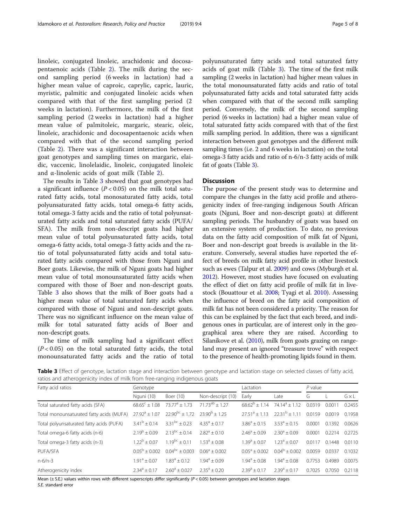linoleic, conjugated linoleic, arachidonic and docosapentaenoic acids (Table [2\)](#page-3-0). The milk during the second sampling period (6 weeks in lactation) had a higher mean value of caproic, caprylic, capric, lauric, myristic, palmitic and conjugated linoleic acids when compared with that of the first sampling period (2 weeks in lactation). Furthermore, the milk of the first sampling period (2 weeks in lactation) had a higher mean value of palmitoleic, margaric, stearic, oleic, linoleic, arachidonic and docosapentaenoic acids when compared with that of the second sampling period (Table [2\)](#page-3-0). There was a significant interaction between goat genotypes and sampling times on margaric, elaidic, vaccenic, linolelaidic, linoleic, conjugated linoleic and  $\alpha$ -linolenic acids of goat milk (Table [2\)](#page-3-0).

The results in Table 3 showed that goat genotypes had a significant influence  $(P < 0.05)$  on the milk total saturated fatty acids, total monosaturated fatty acids, total polyunsaturated fatty acids, total omega-6 fatty acids, total omega-3 fatty acids and the ratio of total polyunsaturated fatty acids and total saturated fatty acids (PUFA/ SFA). The milk from non-descript goats had higher mean value of total polyunsaturated fatty acids, total omega-6 fatty acids, total omega-3 fatty acids and the ratio of total polyunsaturated fatty acids and total saturated fatty acids compared with those from Nguni and Boer goats. Likewise, the milk of Nguni goats had higher mean value of total monounsaturated fatty acids when compared with those of Boer and non-descript goats. Table 3 also shows that the milk of Boer goats had a higher mean value of total saturated fatty acids when compared with those of Nguni and non-descript goats. There was no significant influence on the mean value of milk for total saturated fatty acids of Boer and non-descript goats.

The time of milk sampling had a significant effect  $(P < 0.05)$  on the total saturated fatty acids, the total monounsaturated fatty acids and the ratio of total polyunsaturated fatty acids and total saturated fatty acids of goat milk (Table 3). The time of the first milk sampling (2 weeks in lactation) had higher mean values in the total monounsaturated fatty acids and ratio of total polyunsaturated fatty acids and total saturated fatty acids when compared with that of the second milk sampling period. Conversely, the milk of the second sampling period (6 weeks in lactation) had a higher mean value of total saturated fatty acids compared with that of the first milk sampling period. In addition, there was a significant interaction between goat genotypes and the different milk sampling times (i.e. 2 and 6 weeks in lactation) on the total omega-3 fatty acids and ratio of n-6/n-3 fatty acids of milk fat of goats (Table 3).

#### **Discussion**

The purpose of the present study was to determine and compare the changes in the fatty acid profile and atherogenicity index of free-ranging indigenous South African goats (Nguni, Boer and non-descript goats) at different sampling periods. The husbandry of goats was based on an extensive system of production. To date, no previous data on the fatty acid composition of milk fat of Nguni, Boer and non-descript goat breeds is available in the literature. Conversely, several studies have reported the effect of breeds on milk fatty acid profile in other livestock such as ewes (Talpur et al. [2009](#page-7-0)) and cows (Myburgh et al. [2012\)](#page-6-0). However, most studies have focused on evaluating the effect of diet on fatty acid profile of milk fat in livestock (Bouattour et al. [2008](#page-6-0); Tyagi et al. [2010](#page-7-0)). Assessing the influence of breed on the fatty acid composition of milk fat has not been considered a priority. The reason for this can be explained by the fact that each breed, and indigenous ones in particular, are of interest only in the geographical area where they are raised. According to Silanikove et al. [\(2010\)](#page-7-0), milk from goats grazing on rangeland may present an ignored "treasure trove" with respect to the presence of health-promoting lipids found in them.

Table 3 Effect of genotype, lactation stage and interaction between genotype and lactation stage on selected classes of fatty acid, ratios and atherogenicity index of milk from free-ranging indigenous goats

| Fatty acid ratios                        | Genotype                  |                                            | Lactation             |                        | $P$ value             |        |        |        |
|------------------------------------------|---------------------------|--------------------------------------------|-----------------------|------------------------|-----------------------|--------|--------|--------|
|                                          | Nguni (10)                | Boer (10)                                  | Non-descript (10)     | Early                  | Late                  | G      |        | GxL    |
| Total saturated fatty acids (SFA)        | $68.65^{\circ} + 1.08$    | $73.77^a + 1.73$                           | $71.73^{ab} + 1.27$   | $6862^b + 114$         | $74.14^a + 1.12$      | 00319  | 0.0011 | 0.2455 |
| Total monounsaturated fatty acids (MUFA) | $27.92^a + 1.07$          | $22.90^{bc} \pm 1.72$ $23.90^{b} \pm 1.25$ |                       | $27.51^a + 1.13$       | $22.31^b + 1.11$      | 0.0159 | 0.0019 | 0.1958 |
| Total polyunsaturated fatty acids (PUFA) | $3.41^b \pm 0.14$         | $3.31^{bc} + 0.23$                         | $4.35^{\circ} + 0.17$ | $3.86^{\circ} + 0.15$  | $3.53^{\circ} + 0.15$ | 0.0001 | 0.1392 | 0.0626 |
| Total omega-6 fatty acids (n-6)          | $2.19^b + 0.09$           | $2.13^{bc} \pm 0.14$                       | $2.82^a + 0.10$       | $2.46^a + 0.09$        | $2.30^a + 0.09$       | 0.0001 | 0.2214 | 0.2725 |
| Total omega-3 fatty acids (n-3)          | $1.22^b + 0.07$           | $1.19^{bc} + 0.11$                         | $1.53^a + 0.08$       | $1.39^a + 0.07$        | $1.23^a \pm 0.07$     | 0.0117 | 0.1448 | 0.0110 |
| PUFA/SFA                                 | $0.05^{\text{D}} + 0.002$ | $0.04^{bc} \pm 0.003$                      | $0.06^a + 0.002$      | $0.05^{\circ} + 0.002$ | $0.04^b \pm 0.002$    | 0.0059 | 0.0337 | 0.1032 |
| $n-6/n-3$                                | $1.91^a \pm 0.07$         | $1.83^a \pm 0.12$                          | $1.94^a + 0.09$       | $1.94^a + 0.08$        | $1.94^a + 0.08$       | 0.7753 | 0.4989 | 0.0075 |
| Atherogenicity index                     | $2.34^a + 0.17$           | $2.60^{\circ} \pm 0.027$                   | $2.35^{\circ} + 0.20$ | $2.39^a + 0.17$        | $2.39^a \pm 0.17$     | 0.7025 | 0.7050 | 0.2118 |

Mean ( $\pm$  S.E.) values within rows with different superscripts differ significantly ( $P$  < 0.05) between genotypes and lactation stages

S.E. standard error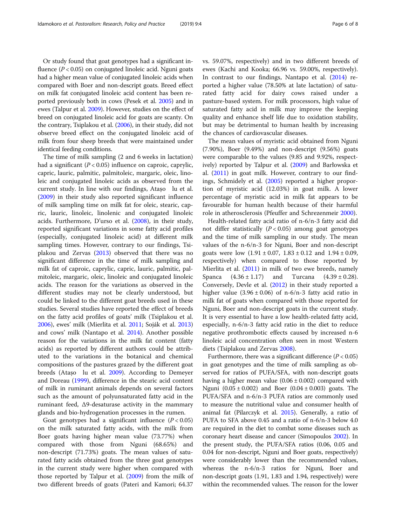Or study found that goat genotypes had a significant influence ( $P < 0.05$ ) on conjugated linoleic acid. Nguni goats had a higher mean value of conjugated linoleic acids when compared with Boer and non-descript goats. Breed effect on milk fat conjugated linoleic acid content has been reported previously both in cows (Pesek et al. [2005](#page-7-0)) and in ewes (Talpur et al. [2009\)](#page-7-0). However, studies on the effect of breed on conjugated linoleic acid for goats are scanty. On the contrary, Tsiplakou et al. [\(2006\)](#page-7-0), in their study, did not observe breed effect on the conjugated linoleic acid of milk from four sheep breeds that were maintained under identical feeding conditions.

The time of milk sampling (2 and 6 weeks in lactation) had a significant  $(P < 0.05)$  influence on caproic, caprylic, capric, lauric, palmitic, palmitoleic, margaric, oleic, linoleic and conjugated linoleic acids as observed from the current study. In line with our findings, Atașo lu et al. ([2009](#page-6-0)) in their study also reported significant influence of milk sampling time on milk fat for oleic, stearic, capric, lauric, linoleic, linolenic and conjugated linoleic acids. Furthermore, D'urso et al. ([2008](#page-6-0)), in their study, reported significant variations in some fatty acid profiles (especially, conjugated linoleic acid) at different milk sampling times. However, contrary to our findings, Tsiplakou and Zervas [\(2013\)](#page-7-0) observed that there was no significant difference in the time of milk sampling and milk fat of caproic, caprylic, capric, lauric, palmitic, palmitoleic, margaric, oleic, linoleic and conjugated linoleic acids. The reason for the variations as observed in the different studies may not be clearly understood, but could be linked to the different goat breeds used in these studies. Several studies have reported the effect of breeds on the fatty acid profiles of goats' milk (Tsiplakou et al. [2006](#page-7-0)), ewes' milk (Mierlita et al. [2011](#page-6-0); Soják et al. [2013](#page-7-0)) and cows' milk (Nantapo et al. [2014\)](#page-6-0). Another possible reason for the variations in the milk fat content (fatty acids) as reported by different authors could be attributed to the variations in the botanical and chemical compositions of the pastures grazed by the different goat breeds (Atașo lu et al. [2009](#page-6-0)). According to Demeyer and Doreau [\(1999\)](#page-6-0), difference in the stearic acid content of milk in ruminant animals depends on several factors such as the amount of polyunsaturated fatty acid in the ruminant feed, Δ9-desaturase activity in the mammary glands and bio-hydrogenation processes in the rumen.

Goat genotypes had a significant influence  $(P < 0.05)$ on the milk saturated fatty acids, with the milk from Boer goats having higher mean value (73.77%) when compared with those from Nguni (68.65%) and non-descript (71.73%) goats. The mean values of saturated fatty acids obtained from the three goat genotypes in the current study were higher when compared with those reported by Talpur et al. [\(2009\)](#page-7-0) from the milk of two different breeds of goats (Pateri and Kamori; 64.37 vs. 59.07%, respectively) and in two different breeds of ewes (Kachi and Kooka; 66.96 vs. 59.00%, respectively). In contrast to our findings, Nantapo et al. [\(2014\)](#page-6-0) reported a higher value (78.50% at late lactation) of saturated fatty acid for dairy cows raised under a pasture-based system. For milk processors, high value of saturated fatty acid in milk may improve the keeping quality and enhance shelf life due to oxidation stability, but may be detrimental to human health by increasing the chances of cardiovascular diseases.

The mean values of myristic acid obtained from Nguni (7.90%), Boer (9.49%) and non-descript (9.56%) goats were comparable to the values (9.85 and 9.92%, respectively) reported by Talpur et al. ([2009\)](#page-7-0) and Barłowska et al. [\(2011\)](#page-6-0) in goat milk. However, contrary to our findings, Schmidely et al. [\(2005\)](#page-7-0) reported a higher proportion of myristic acid (12.03%) in goat milk. A lower percentage of myristic acid in milk fat appears to be favourable for human health because of their harmful role in atherosclerosis (Pfeuffer and Schrezenmeir [2000\)](#page-7-0).

Health-related fatty acid ratio of n-6/n-3 fatty acid did not differ statistically  $(P < 0.05)$  among goat genotypes and the time of milk sampling in our study. The mean values of the n-6/n-3 for Nguni, Boer and non-descript goats were low  $(1.91 \pm 0.07, 1.83 \pm 0.12)$  and  $1.94 \pm 0.09$ , respectively) when compared to those reported by Mierlita et al. ([2011](#page-6-0)) in milk of two ewe breeds, namely Spanca  $(4.36 \pm 1.17)$  and Turcana  $(4.39 \pm 0.28)$ . Conversely, Devle et al. [\(2012\)](#page-6-0) in their study reported a higher value  $(3.96 \pm 0.06)$  of n-6/n-3 fatty acid ratio in milk fat of goats when compared with those reported for Nguni, Boer and non-descript goats in the current study. It is very essential to have a low health-related fatty acid, especially, n-6/n-3 fatty acid ratio in the diet to reduce negative prothrombotic effects caused by increased n-6 linoleic acid concentration often seen in most Western diets (Tsiplakou and Zervas [2008\)](#page-7-0).

Furthermore, there was a significant difference ( $P < 0.05$ ) in goat genotypes and the time of milk sampling as observed for ratios of PUFA/SFA, with non-descript goats having a higher mean value  $(0.06 \pm 0.002)$  compared with Nguni  $(0.05 \pm 0.002)$  and Boer  $(0.04 \pm 0.003)$  goats. The PUFA/SFA and n-6/n-3 PUFA ratios are commonly used to measure the nutritional value and consumer health of animal fat (Pilarczyk et al. [2015\)](#page-7-0). Generally, a ratio of PUFA to SFA above 0.45 and a ratio of n-6/n-3 below 4.0 are required in the diet to combat some diseases such as coronary heart disease and cancer (Simopoulos [2002](#page-7-0)). In the present study, the PUFA/SFA ratios (0.06, 0.05 and 0.04 for non-descript, Nguni and Boer goats, respectively) were considerably lower than the recommended values, whereas the n-6/n-3 ratios for Nguni, Boer and non-descript goats (1.91, 1.83 and 1.94, respectively) were within the recommended values. The reason for the lower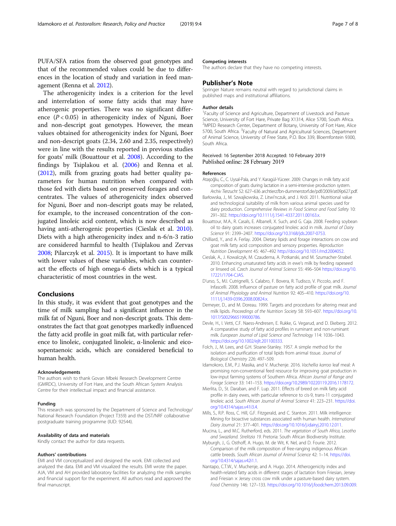<span id="page-6-0"></span>PUFA/SFA ratios from the observed goat genotypes and that of the recommended values could be due to differences in the location of study and variation in feed management (Renna et al. [2012\)](#page-7-0).

The atherogenicity index is a criterion for the level and interrelation of some fatty acids that may have atherogenic properties. There was no significant difference  $(P < 0.05)$  in atherogenicity index of Nguni, Boer and non-descript goat genotypes. However, the mean values obtained for atherogenicity index for Nguni, Boer and non-descript goats (2.34, 2.60 and 2.35, respectively) were in line with the results reported in previous studies for goats' milk (Bouattour et al. 2008). According to the findings by Tsiplakou et al. [\(2006\)](#page-7-0) and Renna et al. ([2012](#page-7-0)), milk from grazing goats had better quality parameters for human nutrition when compared with those fed with diets based on preserved forages and concentrates. The values of atherogenicity index observed for Nguni, Boer and non-descript goats may be related, for example, to the increased concentration of the conjugated linoleic acid content, which is now described as having anti-atherogenic properties (Cieslak et al. 2010). Diets with a high atherogenicity index and n-6/n-3 ratio are considered harmful to health (Tsiplakou and Zervas [2008](#page-7-0); Pilarczyk et al. [2015](#page-7-0)). It is important to have milk with lower values of these variables, which can counteract the effects of high omega-6 diets which is a typical characteristic of most countries in the west.

#### Conclusions

In this study, it was evident that goat genotypes and the time of milk sampling had a significant influence in the milk fat of Nguni, Boer and non-descript goats. This demonstrates the fact that goat genotypes markedly influenced the fatty acid profile in goat milk fat, with particular reference to linoleic, conjugated linoleic, α-linolenic and eicosopentaenoic acids, which are considered beneficial to human health.

#### Acknowledgements

The authors wish to thank Govan Mbeki Research Development Centre (GMRDC), University of Fort Hare, and the South African System Analysis Centre for their intellectual impact and financial assistance.

#### Funding

This research was sponsored by the Department of Science and Technology/ National Research Foundation (Project T359) and the DST/NRF collaborative postgraduate training programme (IUD: 92544).

#### Availability of data and materials

Kindly contact the author for data requests.

#### Authors' contributions

EMI and VM conceptualized and designed the work. EMI collected and analyzed the data. EMI and VM visualized the results. EMI wrote the paper. AJA, VM and AH provided laboratory facilities for analyzing the milk samples and financial support for the experiment. All authors read and approved the final manuscript.

#### Competing interests

The authors declare that they have no competing interests.

#### Publisher's Note

Springer Nature remains neutral with regard to jurisdictional claims in published maps and institutional affiliations.

#### Author details

<sup>1</sup> Faculty of Science and Agriculture, Department of Livestock and Pasture Science, University of Fort Hare, Private Bag X1314, Alice 5700, South Africa. <sup>2</sup>MPED Research Center, Department of Botany, University of Fort Hare, Alice 5700, South Africa. <sup>3</sup> Faculty of Natural and Agricultural Sciences, Department of Animal Science, University of Free State, P.O. Box 339, Bloemfontein 9300, South Africa.

#### Received: 16 September 2018 Accepted: 10 February 2019 Published online: 28 February 2019

#### References

- Atașoğlu, C., C. Uysal-Pala, and Y. Karagül-Yüceer. 2009. Changes in milk fatty acid composition of goats during lactation in a semi-intensive production system. Archiv Tierzucht 52: 627–636 archtierz.fbn-dummerstorf.de/pdf/2009/at09p627.pdf.
- Barłowska, J., M. Szwajkowska, Z. Litwi'nczuk, and J. Król. 2011. Nutritional value and technological suitability of milk from various animal species used for dairy production. Comprehensive Reviews in Food Science and Food Safety 10: 291–302. [https://doi.org/10.1111/j.1541-4337.2011.00163.x.](https://doi.org/10.1111/j.1541-4337.2011.00163.x)
- Bouattour, M.A., R. Casals, E. Albanell, X. Such, and G. Caja. 2008. Feeding soybean oil to dairy goats increases conjugated linoleic acid in milk. Journal of Dairy Science 91: 2399–2407. [https://doi.org/10.3168/jds.2007-0753.](https://doi.org/10.3168/jds.2007-0753)
- Chilliard, Y., and A. Ferlay. 2004. Dietary lipids and forage interactions on cow and goat milk fatty acid composition and sensory properties. Reproduction Nutrition Development 45: 467–492 [http://doi.org/10.1051/rnd:2004052.](http://doi.org/10.1051/rnd:2004052)
- Cieslak, A., J. Kowalczyk, M. Czauderna, A. Potkanski, and M. Szumacher-Strabel. 2010. Enhancing unsaturated fatty acids in ewe's milk by feeding rapeseed or linseed oil. Czech Journal of Animal Science 55: 496–504 [https://doi.org/10.](https://doi.org/10.17221/1704-CJAS) [17221/1704-CJAS.](https://doi.org/10.17221/1704-CJAS)
- D'urso, S., M.I. Cutrignelli, S. Calabro, F. Bovera, R. Tudisco, V. Piccolo, and F. Infascelli. 2008. Influence of pasture on fatty acid profile of goat milk. Journal of Animal Physiology and Animal Nutrition 92: 405–410. [https://doi.org/10.](https://doi.org/10.1111/j.1439-0396.2008.00824.x) [1111/j.1439-0396.2008.00824.x](https://doi.org/10.1111/j.1439-0396.2008.00824.x).
- Demeyer, D., and M. Doreau. 1999. Targets and procedures for altering meat and milk lipids. Proceedings of the Nutrition Society 58: 593–607. [https://doi.org/10.](https://doi.org/10.1017/S0029665199000786) [1017/S0029665199000786.](https://doi.org/10.1017/S0029665199000786)
- Devle, H., I. Vetti, C.F. Naess-Andresen, E. Rukke, G. Vegarud, and D. Ekeberg. 2012. A comparative study of fatty acid profiles in ruminant and non-ruminant milk. European Journal of Lipid Science and Technology 114: 1036–1043. <https://doi.org/10.1002/ejlt.201100333>.
- Folch, J., M. Lees, and G.H. Sloane-Stanley. 1957. A simple method for the isolation and purification of total lipids from animal tissue. Journal of Biological Chemistry 226: 497–509.
- Idamokoro, E.M., P.J. Masika, and V. Muchenje. 2016. Vachellia karroo leaf meal: A promising non-conventional feed resource for improving goat production in low-input farming systems of Southern Africa. African Journal of Range and Forage Science 33: 141–153. <https://doi.org/10.2989/10220119.2016.1178172>.
- Mierlita, D., St. Daraban, and F. Lup. 2011. Effects of breed on milk fatty acid profile in dairy ewes, with particular reference to cis-9, trans-11 conjugated linoleic acid. South African Journal of Animal Science 41: 223–231. [https://doi.](https://doi.org/10.4314/sajas.v41i3.4) [org/10.4314/sajas.v41i3.4.](https://doi.org/10.4314/sajas.v41i3.4)
- Mills, S., R.P. Ross, C. Hill, G.F. Fitzgerald, and C. Stanton. 2011. Milk intelligence: Mining for bioactive substances associated with human health. International Dairy Journal 21: 377–401. [https://doi.org/10.1016/j.idairyj.2010.12.011.](https://doi.org/10.1016/j.idairyj.2010.12.011)
- Mucina, L., and M.C. Rutherford, eds. 2011. The vegetation of South Africa, Lesotho and Swaziland. Strelitzia 19. Pretoria: South African Biodiversity Institute.
- Myburgh, J., G. Osthoff, A. Hugo, M. de Wit, K. Nel, and D. Fourie. 2012. Comparison of the milk composition of free-ranging indigenous African cattle breeds. South African Journal of Animal Science 42: 1–14. [https://doi.](https://doi.org/10.4314/sajas.v42i1.1) [org/10.4314/sajas.v42i1.1.](https://doi.org/10.4314/sajas.v42i1.1)
- Nantapo, C.T.W., V. Muchenje, and A. Hugo. 2014. Atherogenicity index and health-related fatty acids in different stages of lactation from Friesian, Jersey and Friesian  $\times$  Jersey cross cow milk under a pasture-based dairy system. Food Chemistry 146: 127–133. [https://doi.org/10.1016/j.foodchem.2013.09.009.](https://doi.org/10.1016/j.foodchem.2013.09.009)